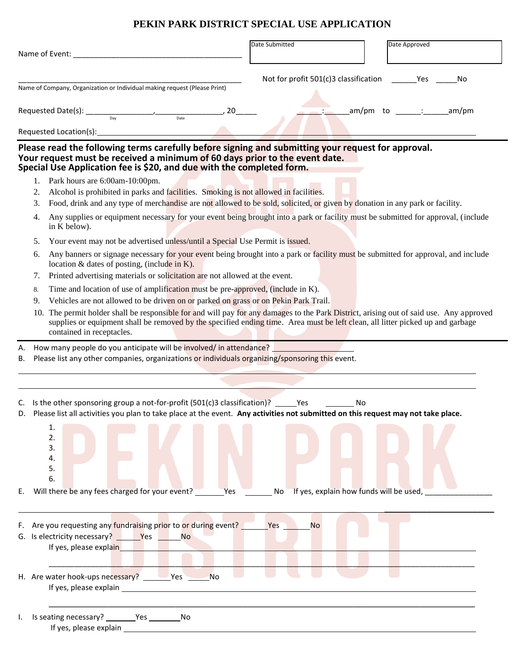## **PEKIN PARK DISTRICT SPECIAL USE APPLICATION**

| Name of Event:                                                                                                                                                                                                                                                                                                                                                                                                                                                                                                                                                                    | Date Submitted                        | Date Approved                                 |
|-----------------------------------------------------------------------------------------------------------------------------------------------------------------------------------------------------------------------------------------------------------------------------------------------------------------------------------------------------------------------------------------------------------------------------------------------------------------------------------------------------------------------------------------------------------------------------------|---------------------------------------|-----------------------------------------------|
| Name of Company, Organization or Individual making request (Please Print)                                                                                                                                                                                                                                                                                                                                                                                                                                                                                                         | Not for profit 501(c)3 classification | Yes<br>No                                     |
| Requested Date(s): $\frac{1}{\text{Day}}$ (Date $\frac{1}{\text{Day}}$ (Date $\frac{1}{\text{Day}}$ (Date                                                                                                                                                                                                                                                                                                                                                                                                                                                                         |                                       | _am/pm to _______:_______<br>am/pm            |
|                                                                                                                                                                                                                                                                                                                                                                                                                                                                                                                                                                                   |                                       |                                               |
| Please read the following terms carefully before signing and submitting your request for approval.<br>Your request must be received a minimum of 60 days prior to the event date.<br>Special Use Application fee is \$20, and due with the completed form.                                                                                                                                                                                                                                                                                                                        |                                       |                                               |
| Park hours are 6:00am-10:00pm.<br>1.<br>Alcohol is prohibited in parks and facilities. Smoking is not allowed in facilities.<br>2.<br>Food, drink and any type of merchandise are not allowed to be sold, solicited, or given by donation in any park or facility.<br>3.<br>Any supplies or equipment necessary for your event being brought into a park or facility must be submitted for approval, (include<br>4.<br>in K below).                                                                                                                                               |                                       |                                               |
| Your event may not be advertised unless/until a Special Use Permit is issued.<br>5.<br>Any banners or signage necessary for your event being brought into a park or facility must be submitted for approval, and include<br>6.<br>location & dates of posting, (include in K).                                                                                                                                                                                                                                                                                                    |                                       |                                               |
| Printed advertising materials or solicitation are not allowed at the event.<br>7.<br>Time and location of use of amplification must be pre-approved, (include in K).<br>8.<br>Vehicles are not allowed to be driven on or parked on grass or on Pekin Park Trail.<br>9.<br>10. The permit holder shall be responsible for and will pay for any damages to the Park District, arising out of said use. Any approved<br>supplies or equipment shall be removed by the specified ending time. Area must be left clean, all litter picked up and garbage<br>contained in receptacles. |                                       |                                               |
| How many people do you anticipate will be involved/ in attendance?<br>А.<br>Please list any other companies, organizations or individuals organizing/sponsoring this event.<br>В.                                                                                                                                                                                                                                                                                                                                                                                                 |                                       |                                               |
| C. Is the other sponsoring group a not-for-profit $(501(c)3$ classification)? Yes<br>Please list all activities you plan to take place at the event. Any activities not submitted on this request may not take place.<br>D.<br>1.<br>2.<br>3.<br>4.<br>5.<br>6.<br>E. Will there be any fees charged for your event?                                                                                                                                                                                                                                                              | No<br>Yes                             | No<br>If yes, explain how funds will be used, |
| F. Are you requesting any fundraising prior to or during event?<br>If yes, please explain                                                                                                                                                                                                                                                                                                                                                                                                                                                                                         | Yes<br>No                             |                                               |
| H. Are water hook-ups necessary? _________Yes ________No<br>If yes, please explain example and the state of the state of the state of the state of the state of the state of the state of the state of the state of the state of the state of the state of the state of the state of the s                                                                                                                                                                                                                                                                                        |                                       |                                               |
|                                                                                                                                                                                                                                                                                                                                                                                                                                                                                                                                                                                   |                                       |                                               |